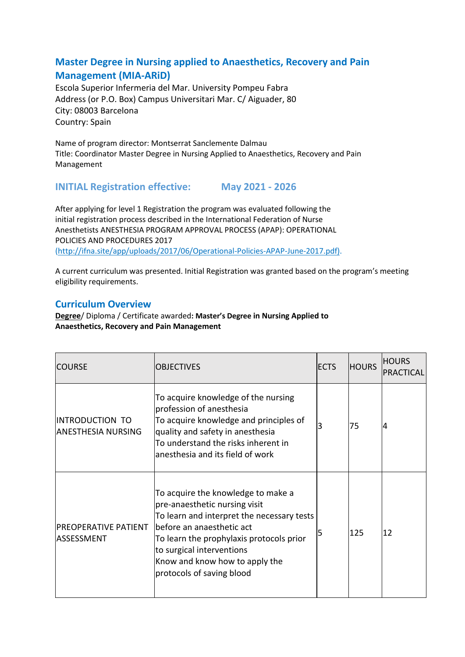## **Master Degree in Nursing applied to Anaesthetics, Recovery and Pain Management (MIA-ARiD)**

Escola Superior Infermeria del Mar. University Pompeu Fabra Address (or P.O. Box) Campus Universitari Mar. C/ Aiguader, 80 City: 08003 Barcelona Country: Spain

Name of program director: Montserrat Sanclemente Dalmau Title: Coordinator Master Degree in Nursing Applied to Anaesthetics, Recovery and Pain Management

## **INITIAL Registration effective: May 2021 - 2026**

After applying for level 1 Registration the program was evaluated following the initial registration process described in the International Federation of Nurse Anesthetists ANESTHESIA PROGRAM APPROVAL PROCESS (APAP): OPERATIONAL POLICIES AND PROCEDURES 2017 (http://ifna.site/app/uploads/2017/06/Operational-Policies-APAP-June-2017.pdf).

A current curriculum was presented. Initial Registration was granted based on the program's meeting eligibility requirements.

## **Curriculum Overview**

**Degree**/ Diploma / Certificate awarded**: Master's Degree in Nursing Applied to Anaesthetics, Recovery and Pain Management**

| <b>COURSE</b>                                | <b>OBJECTIVES</b>                                                                                                                                                                                                                                                                      | <b>ECTS</b> | <b>HOURS</b> | <b>HOURS</b><br>PRACTICAL |
|----------------------------------------------|----------------------------------------------------------------------------------------------------------------------------------------------------------------------------------------------------------------------------------------------------------------------------------------|-------------|--------------|---------------------------|
| INTRODUCTION TO<br><b>ANESTHESIA NURSING</b> | To acquire knowledge of the nursing<br>profession of anesthesia<br>To acquire knowledge and principles of<br>quality and safety in anesthesia<br>To understand the risks inherent in<br>lanesthesia and its field of work                                                              | 3           | 75           | 4                         |
| <b>PREOPERATIVE PATIENT</b><br>ASSESSMENT    | To acquire the knowledge to make a<br>pre-anaesthetic nursing visit<br>To learn and interpret the necessary tests<br>before an anaesthetic act<br>To learn the prophylaxis protocols prior<br>to surgical interventions<br>Know and know how to apply the<br>protocols of saving blood | 5           | 125          | 12                        |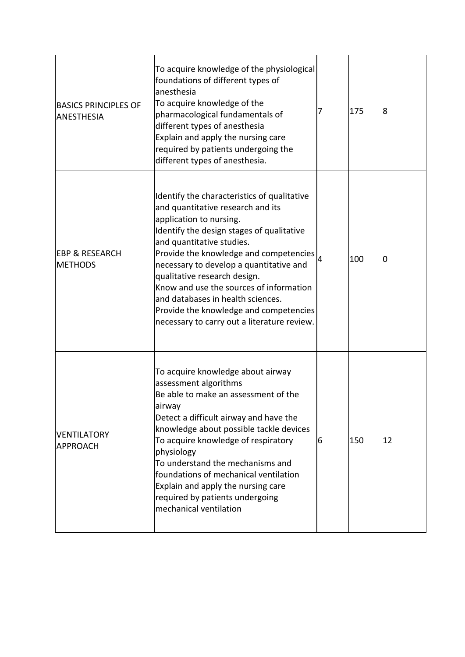| <b>BASICS PRINCIPLES OF</b><br><b>ANESTHESIA</b> | To acquire knowledge of the physiological<br>foundations of different types of<br>anesthesia<br>To acquire knowledge of the<br>pharmacological fundamentals of<br>different types of anesthesia<br>Explain and apply the nursing care<br>required by patients undergoing the<br>different types of anesthesia.                                                                                                                                                                      | 7  | 175 | 8  |
|--------------------------------------------------|-------------------------------------------------------------------------------------------------------------------------------------------------------------------------------------------------------------------------------------------------------------------------------------------------------------------------------------------------------------------------------------------------------------------------------------------------------------------------------------|----|-----|----|
| <b>EBP &amp; RESEARCH</b><br><b>METHODS</b>      | Identify the characteristics of qualitative<br>and quantitative research and its<br>application to nursing.<br>Identify the design stages of qualitative<br>and quantitative studies.<br>Provide the knowledge and competencies<br>necessary to develop a quantitative and<br>qualitative research design.<br>Know and use the sources of information<br>and databases in health sciences.<br>Provide the knowledge and competencies<br>necessary to carry out a literature review. |    | 100 | IО |
| <b>VENTILATORY</b><br><b>APPROACH</b>            | To acquire knowledge about airway<br>assessment algorithms<br>Be able to make an assessment of the<br>airway<br>Detect a difficult airway and have the<br>knowledge about possible tackle devices<br>To acquire knowledge of respiratory<br>physiology<br>To understand the mechanisms and<br>foundations of mechanical ventilation<br>Explain and apply the nursing care<br>required by patients undergoing<br>mechanical ventilation                                              | 16 | 150 | 12 |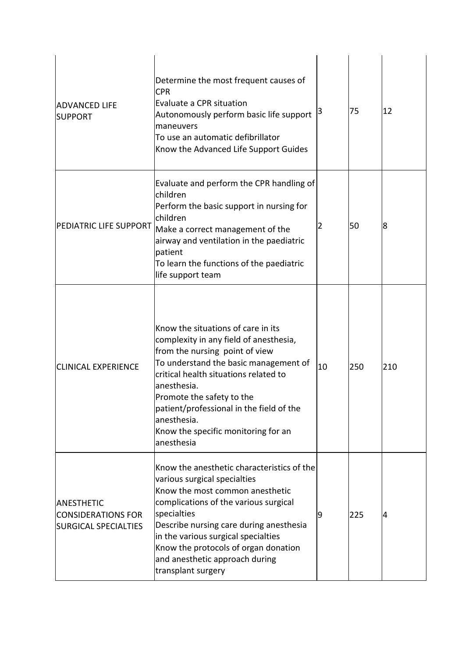| <b>ADVANCED LIFE</b><br><b>SUPPORT</b>                                        | Determine the most frequent causes of<br><b>CPR</b><br>Evaluate a CPR situation<br>Autonomously perform basic life support   <sup>3</sup><br>maneuvers<br>To use an automatic defibrillator<br>Know the Advanced Life Support Guides                                                                                                                           |    | 75  | 12  |
|-------------------------------------------------------------------------------|----------------------------------------------------------------------------------------------------------------------------------------------------------------------------------------------------------------------------------------------------------------------------------------------------------------------------------------------------------------|----|-----|-----|
| PEDIATRIC LIFE SUPPORT                                                        | Evaluate and perform the CPR handling of<br>lchildren<br>Perform the basic support in nursing for<br>lchildren<br>Make a correct management of the<br>airway and ventilation in the paediatric<br><b>patient</b><br>To learn the functions of the paediatric<br>life support team                                                                              | 2  | 50  | 18  |
| <b>CLINICAL EXPERIENCE</b>                                                    | Know the situations of care in its<br>complexity in any field of anesthesia,<br>from the nursing point of view<br>To understand the basic management of<br>critical health situations related to<br>anesthesia.<br>Promote the safety to the<br>patient/professional in the field of the<br>lanesthesia.<br>Know the specific monitoring for an<br>lanesthesia | 10 | 250 | 210 |
| <b>ANESTHETIC</b><br><b>CONSIDERATIONS FOR</b><br><b>SURGICAL SPECIALTIES</b> | Know the anesthetic characteristics of the<br>various surgical specialties<br>Know the most common anesthetic<br>complications of the various surgical<br>specialties<br>Describe nursing care during anesthesia<br>in the various surgical specialties<br>Know the protocols of organ donation<br>and anesthetic approach during<br>transplant surgery        | 9  | 225 | 14  |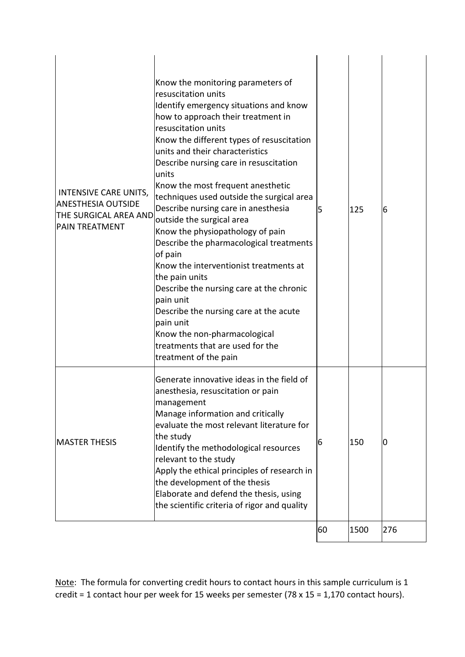| INTENSIVE CARE UNITS,<br><b>ANESTHESIA OUTSIDE</b><br>THE SURGICAL AREA AND<br><b>PAIN TREATMENT</b> | Know the monitoring parameters of<br>resuscitation units<br>Identify emergency situations and know<br>how to approach their treatment in<br>resuscitation units<br>Know the different types of resuscitation<br>units and their characteristics<br>Describe nursing care in resuscitation<br>units<br>Know the most frequent anesthetic<br>techniques used outside the surgical area<br>Describe nursing care in anesthesia<br>outside the surgical area<br>Know the physiopathology of pain<br>Describe the pharmacological treatments<br>of pain<br>Know the interventionist treatments at<br>the pain units<br>Describe the nursing care at the chronic<br>pain unit<br>Describe the nursing care at the acute<br>pain unit<br>Know the non-pharmacological<br>treatments that are used for the<br>treatment of the pain | 5  | 125  | 6   |
|------------------------------------------------------------------------------------------------------|-----------------------------------------------------------------------------------------------------------------------------------------------------------------------------------------------------------------------------------------------------------------------------------------------------------------------------------------------------------------------------------------------------------------------------------------------------------------------------------------------------------------------------------------------------------------------------------------------------------------------------------------------------------------------------------------------------------------------------------------------------------------------------------------------------------------------------|----|------|-----|
| <b>MASTER THESIS</b>                                                                                 | Generate innovative ideas in the field of<br>anesthesia, resuscitation or pain<br> management<br>Manage information and critically<br>evaluate the most relevant literature for<br>the study<br>Identify the methodological resources<br>relevant to the study<br>Apply the ethical principles of research in<br>the development of the thesis<br>Elaborate and defend the thesis, using<br>the scientific criteria of rigor and quality                                                                                                                                                                                                                                                                                                                                                                                    | 6  | 150  | 0   |
|                                                                                                      |                                                                                                                                                                                                                                                                                                                                                                                                                                                                                                                                                                                                                                                                                                                                                                                                                             | 60 | 1500 | 276 |

Note: The formula for converting credit hours to contact hours in this sample curriculum is 1 credit = 1 contact hour per week for 15 weeks per semester (78 x 15 = 1,170 contact hours).